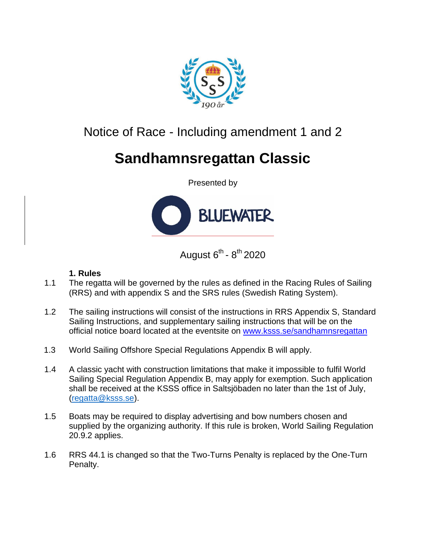

## Notice of Race - Including amendment 1 and 2

# **Sandhamnsregattan Classic**

Presented by



August 6<sup>th</sup> - 8<sup>th</sup> 2020

#### **1. Rules**

- 1.1 The regatta will be governed by the rules as defined in the Racing Rules of Sailing (RRS) and with appendix S and the SRS rules (Swedish Rating System).
- 1.2 The sailing instructions will consist of the instructions in RRS Appendix S, Standard Sailing Instructions, and supplementary sailing instructions that will be on the official notice board located at the eventsite on www.ksss.se/sandhamnsregattan
- 1.3 World Sailing Offshore Special Regulations Appendix B will apply.
- 1.4 A classic yacht with construction limitations that make it impossible to fulfil World Sailing Special Regulation Appendix B, may apply for exemption. Such application shall be received at the KSSS office in Saltsjöbaden no later than the 1st of July, [\(regatta@ksss.se\)](mailto:regatta@ksss.se).
- 1.5 Boats may be required to display advertising and bow numbers chosen and supplied by the organizing authority. If this rule is broken, World Sailing Regulation 20.9.2 applies.
- 1.6 RRS 44.1 is changed so that the Two-Turns Penalty is replaced by the One-Turn Penalty.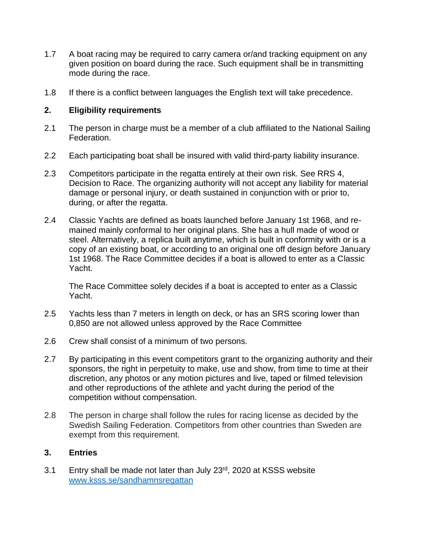- 1.7 A boat racing may be required to carry camera or/and tracking equipment on any given position on board during the race. Such equipment shall be in transmitting mode during the race.
- 1.8 If there is a conflict between languages the English text will take precedence.

#### **2. Eligibility requirements**

- 2.1 The person in charge must be a member of a club affiliated to the National Sailing Federation.
- 2.2 Each participating boat shall be insured with valid third-party liability insurance.
- 2.3 Competitors participate in the regatta entirely at their own risk. See RRS 4, Decision to Race. The organizing authority will not accept any liability for material damage or personal injury, or death sustained in conjunction with or prior to, during, or after the regatta.
- 2.4 Classic Yachts are defined as boats launched before January 1st 1968, and remained mainly conformal to her original plans. She has a hull made of wood or steel. Alternatively, a replica built anytime, which is built in conformity with or is a copy of an existing boat, or according to an original one off design before January 1st 1968. The Race Committee decides if a boat is allowed to enter as a Classic Yacht.

The Race Committee solely decides if a boat is accepted to enter as a Classic Yacht.

- 2.5 Yachts less than 7 meters in length on deck, or has an SRS scoring lower than 0,850 are not allowed unless approved by the Race Committee
- 2.6 Crew shall consist of a minimum of two persons.
- 2.7 By participating in this event competitors grant to the organizing authority and their sponsors, the right in perpetuity to make, use and show, from time to time at their discretion, any photos or any motion pictures and live, taped or filmed television and other reproductions of the athlete and yacht during the period of the competition without compensation.
- 2.8 The person in charge shall follow the rules for racing license as decided by the Swedish Sailing Federation. Competitors from other countries than Sweden are exempt from this requirement.

#### **3. Entries**

3.1 Entry shall be made not later than July  $23<sup>rd</sup>$ , 2020 at KSSS website [www.ksss.se/sandhamnsregattan](http://www.ksss.se/sandhamnsregattan)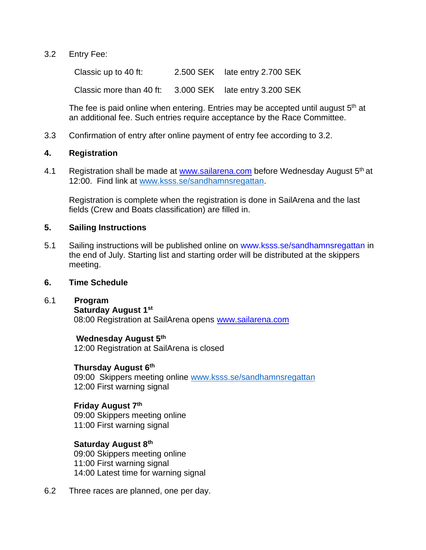#### 3.2 Entry Fee:

Classic up to 40 ft: 2.500 SEK late entry 2.700 SEK

Classic more than 40 ft: 3.000 SEK late entry 3.200 SEK

The fee is paid online when entering. Entries may be accepted until august 5<sup>th</sup> at an additional fee. Such entries require acceptance by the Race Committee.

3.3 Confirmation of entry after online payment of entry fee according to 3.2.

#### **4. Registration**

4.1 Registration shall be made at [www.sailarena.com](http://www.sailarena.com/) before Wednesday August 5<sup>th</sup> at 12:00. Find link at [www.ksss.se/sandhamnsregattan.](http://www.ksss.se/sandhamnsregattan)

Registration is complete when the registration is done in SailArena and the last fields (Crew and Boats classification) are filled in.

#### **5. Sailing Instructions**

5.1 Sailing instructions will be published online on www.ksss.se/sandhamnsregattan in the end of July. Starting list and starting order will be distributed at the skippers meeting.

#### **6. Time Schedule**

#### 6.1 **Program**

**Saturday August 1st**

08:00 Registration at SailArena opens [www.sailarena.com](http://www.sailarena.com/)

#### **Wednesday August 5th**

12:00 Registration at SailArena is closed

#### **Thursday August 6th**

09:00 Skippers meeting online [www.ksss.se/sandhamnsregattan](http://www.ksss.se/sandhamnsregattan) 12:00 First warning signal

#### **Friday August 7th**

09:00 Skippers meeting online 11:00 First warning signal

#### **Saturday August 8th**

09:00 Skippers meeting online 11:00 First warning signal 14:00 Latest time for warning signal

6.2 Three races are planned, one per day.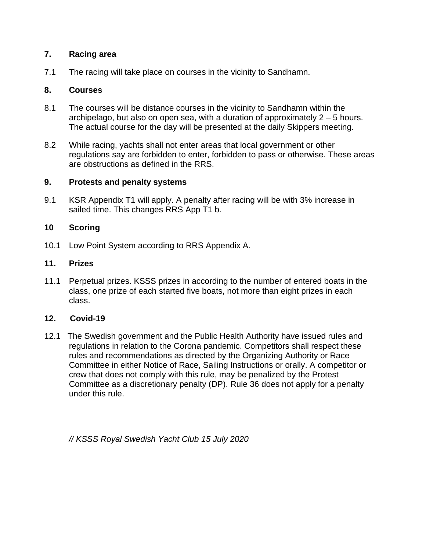#### **7. Racing area**

7.1 The racing will take place on courses in the vicinity to Sandhamn.

#### **8. Courses**

- 8.1 The courses will be distance courses in the vicinity to Sandhamn within the archipelago, but also on open sea, with a duration of approximately 2 – 5 hours. The actual course for the day will be presented at the daily Skippers meeting.
- 8.2 While racing, yachts shall not enter areas that local government or other regulations say are forbidden to enter, forbidden to pass or otherwise. These areas are obstructions as defined in the RRS.

#### **9. Protests and penalty systems**

9.1 KSR Appendix T1 will apply. A penalty after racing will be with 3% increase in sailed time. This changes RRS App T1 b.

#### **10 Scoring**

10.1 Low Point System according to RRS Appendix A.

#### **11. Prizes**

11.1 Perpetual prizes. KSSS prizes in according to the number of entered boats in the class, one prize of each started five boats, not more than eight prizes in each class.

#### **12. Covid-19**

12.1 The Swedish government and the Public Health Authority have issued rules and regulations in relation to the Corona pandemic. Competitors shall respect these rules and recommendations as directed by the Organizing Authority or Race Committee in either Notice of Race, Sailing Instructions or orally. A competitor or crew that does not comply with this rule, may be penalized by the Protest Committee as a discretionary penalty (DP). Rule 36 does not apply for a penalty under this rule.

*// KSSS Royal Swedish Yacht Club 15 July 2020*